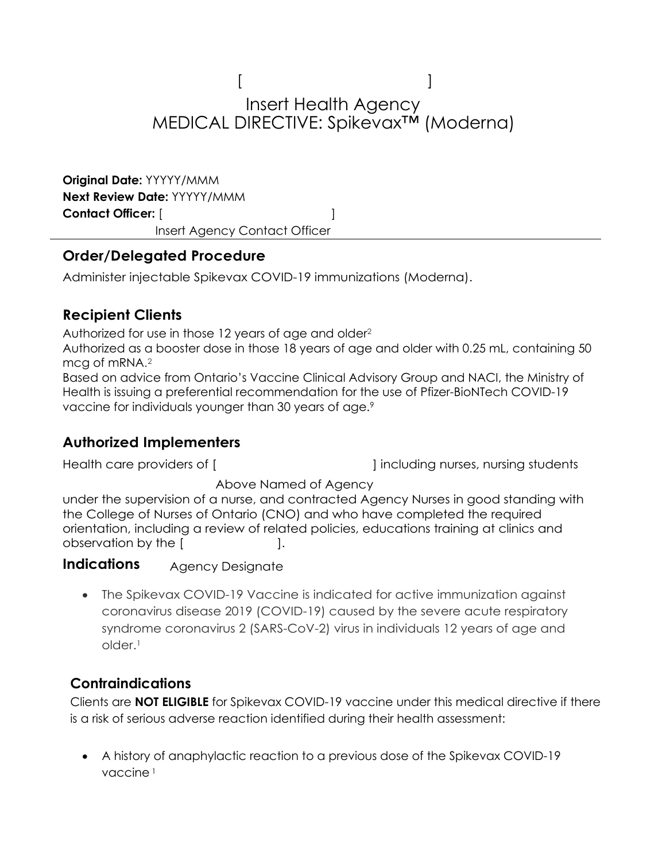# $[$ MEDICAL DIRECTIVE: Spikevax™ (Moderna) Insert Health Agency

**Original Date:** YYYYY/MMM **Next Review Date:** YYYYY/MMM **Contact Officer:** [ ] Insert Agency Contact Officer

## **Order/Delegated Procedure**

Administer injectable Spikevax COVID-19 immunizations (Moderna).

# **Recipient Clients**

Authorized for use in those 12 years of age and older<sup>2</sup>

Authorized as a booster dose in those 18 years of age and older with 0.25 mL, containing 50 mcg of mRNA. 2

Based on advice from Ontario's Vaccine Clinical Advisory Group and NACI, the Ministry of Health is issuing a preferential recommendation for the use of Pfizer-BioNTech COVID-19 vaccine for individuals younger than 30 years of age.<sup>9</sup>

## **Authorized Implementers**

Health care providers of [  $\qquad \qquad$  ] including nurses, nursing students

Above Named of Agency

under the supervision of a nurse, and contracted Agency Nurses in good standing with the College of Nurses of Ontario (CNO) and who have completed the required orientation, including a review of related policies, educations training at clinics and observation by the [  $\qquad \qquad$  ].

#### **Indications** Agency Designate

• The Spikevax COVID-19 Vaccine is indicated for active immunization against coronavirus disease 2019 (COVID-19) caused by the severe acute respiratory syndrome coronavirus 2 (SARS-CoV-2) virus in individuals 12 years of age and older.1

# **Contraindications**

Clients are **NOT ELIGIBLE** for Spikevax COVID-19 vaccine under this medical directive if there is a risk of serious adverse reaction identified during their health assessment:

• A history of anaphylactic reaction to a previous dose of the Spikevax COVID-19 vaccine 1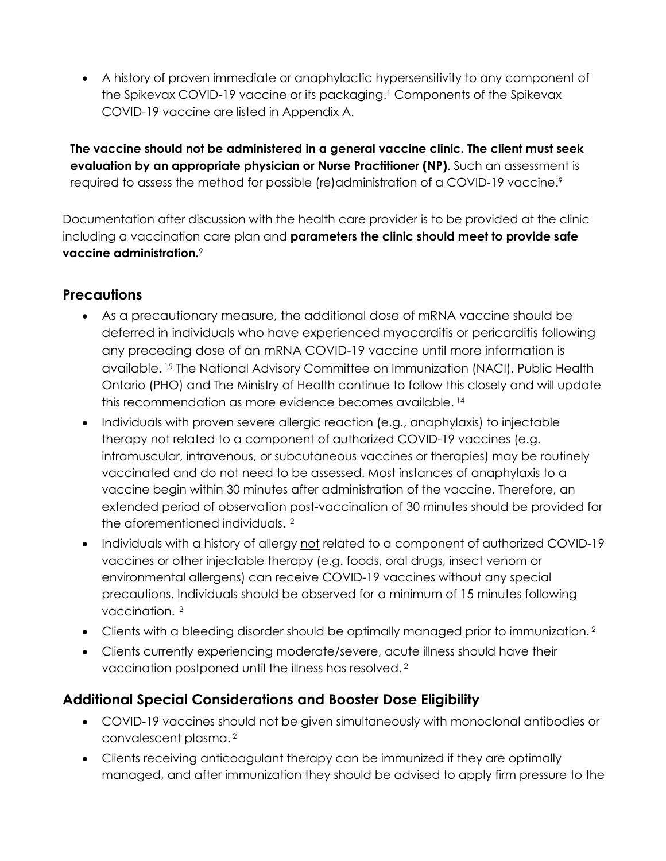• A history of proven immediate or anaphylactic hypersensitivity to any component of the Spikevax COVID-19 vaccine or its packaging.1 Components of the Spikevax COVID-19 vaccine are listed in Appendix A.

**The vaccine should not be administered in a general vaccine clinic. The client must seek evaluation by an appropriate physician or Nurse Practitioner (NP)**. Such an assessment is required to assess the method for possible (re)administration of a COVID-19 vaccine.<sup>9</sup>

Documentation after discussion with the health care provider is to be provided at the clinic including a vaccination care plan and **parameters the clinic should meet to provide safe vaccine administration.**<sup>9</sup>

# **Precautions**

- As a precautionary measure, the additional dose of mRNA vaccine should be deferred in individuals who have experienced myocarditis or pericarditis following any preceding dose of an mRNA COVID-19 vaccine until more information is available. <sup>15</sup> The National Advisory Committee on Immunization (NACI), Public Health Ontario (PHO) and The Ministry of Health continue to follow this closely and will update this recommendation as more evidence becomes available. <sup>14</sup>
- Individuals with proven severe allergic reaction (e.g., anaphylaxis) to injectable therapy not related to a component of authorized COVID-19 vaccines (e.g. intramuscular, intravenous, or subcutaneous vaccines or therapies) may be routinely vaccinated and do not need to be assessed. Most instances of anaphylaxis to a vaccine begin within 30 minutes after administration of the vaccine. Therefore, an extended period of observation post-vaccination of 30 minutes should be provided for the aforementioned individuals. 2
- Individuals with a history of allergy not related to a component of authorized COVID-19 vaccines or other injectable therapy (e.g. foods, oral drugs, insect venom or environmental allergens) can receive COVID-19 vaccines without any special precautions. Individuals should be observed for a minimum of 15 minutes following vaccination. 2
- Clients with a bleeding disorder should be optimally managed prior to immunization.<sup>2</sup>
- Clients currently experiencing moderate/severe, acute illness should have their vaccination postponed until the illness has resolved. 2

# **Additional Special Considerations and Booster Dose Eligibility**

- COVID-19 vaccines should not be given simultaneously with monoclonal antibodies or convalescent plasma. 2
- Clients receiving anticoagulant therapy can be immunized if they are optimally managed, and after immunization they should be advised to apply firm pressure to the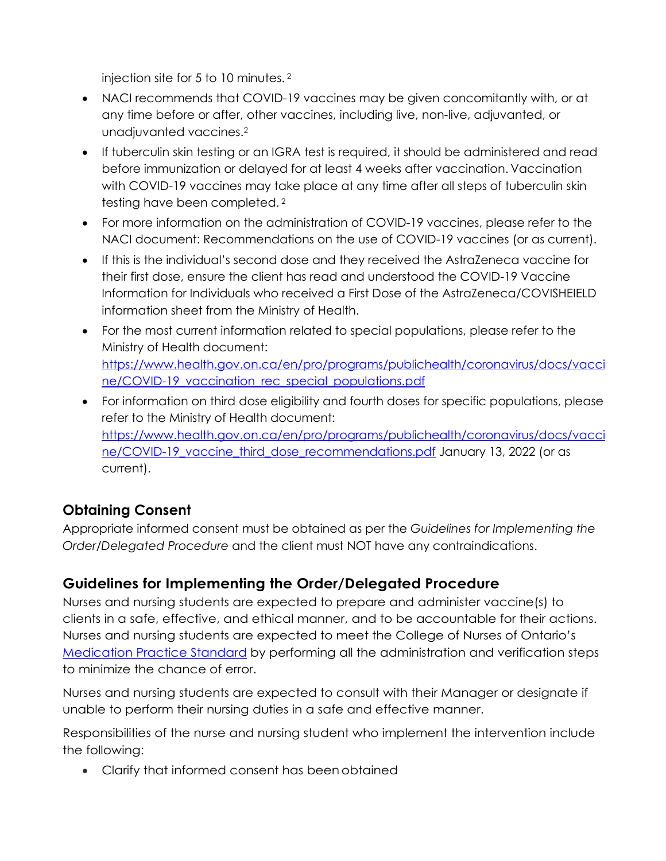injection site for 5 to 10 minutes. 2

- NACI recommends that COVID-19 vaccines may be given concomitantly with, or at any time before or after, other vaccines, including live, non-live, adjuvanted, or unadjuvanted vaccines.2
- If tuberculin skin testing or an IGRA test is required, it should be administered and read before immunization or delayed for at least 4 weeks after vaccination. Vaccination with COVID-19 vaccines may take place at any time after all steps of tuberculin skin testing have been completed. 2
- For more information on the administration of COVID-19 vaccines, please refer to the NACI document: Recommendations on the use of COVID-19 vaccines (or as current).
- If this is the individual's second dose and they received the AstraZeneca vaccine for their first dose, ensure the client has read and understood the COVID-19 Vaccine Information for Individuals who received a First Dose of the AstraZeneca/COVISHEIELD information sheet from the Ministry of Health.
- For the most current information related to special populations, please refer to the Ministry of Health document: [https://www.health.gov.on.ca/en/pro/programs/publichealth/coronavirus/docs/vacci](https://www.health.gov.on.ca/en/pro/programs/publichealth/coronavirus/docs/vaccine/COVID-19_vaccination_rec_special_populations.pdf) [ne/COVID-19\\_vaccination\\_rec\\_special\\_populations.pdf](https://www.health.gov.on.ca/en/pro/programs/publichealth/coronavirus/docs/vaccine/COVID-19_vaccination_rec_special_populations.pdf)
- For information on third dose eligibility and fourth doses for specific populations, please refer to the Ministry of Health document: [https://www.health.gov.on.ca/en/pro/programs/publichealth/coronavirus/docs/vacci](https://www.health.gov.on.ca/en/pro/programs/publichealth/coronavirus/docs/vaccine/COVID-19_vaccine_third_dose_recommendations.pdf) ne/COVID-19 vaccine third dose recommendations.pdf January 13, 2022 (or as current).

# **Obtaining Consent**

Appropriate informed consent must be obtained as per the *Guidelines for Implementing the Order/Delegated Procedure* and the client must NOT have any contraindications.

# **Guidelines for Implementing the Order/Delegated Procedure**

Nurses and nursing students are expected to prepare and administer vaccine(s) to clients in a safe, effective, and ethical manner, and to be accountable for their actions. Nurses and nursing students are expected to meet the College of Nurses of Ontario's Medication Practice Standard by performing all the administration and verification steps to minimize the chance of error.

Nurses and nursing students are expected to consult with their Manager or designate if unable to perform their nursing duties in a safe and effective manner.

Responsibilities of the nurse and nursing student who implement the intervention include the following:

• Clarify that informed consent has been obtained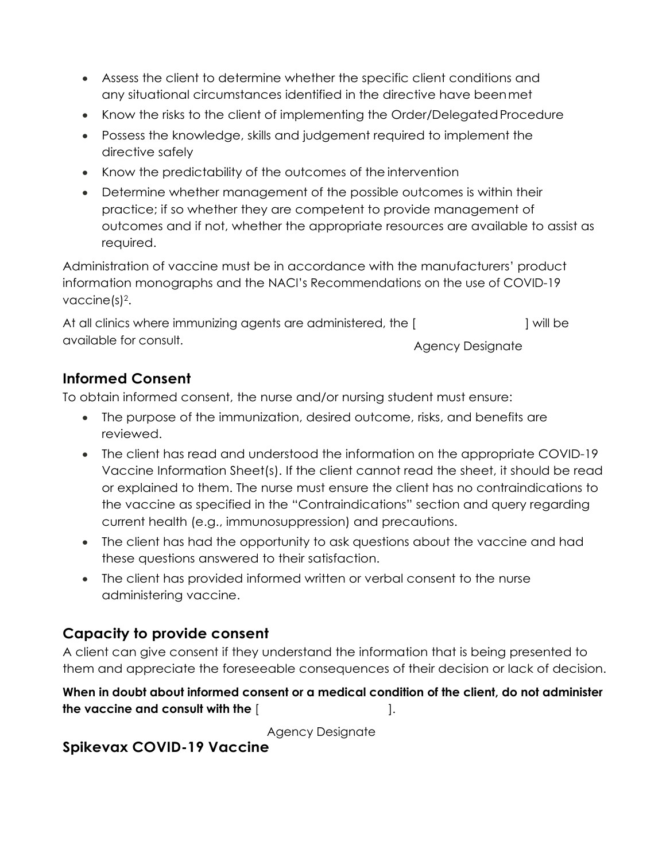- Assess the client to determine whether the specific client conditions and any situational circumstances identified in the directive have beenmet
- Know the risks to the client of implementing the Order/Delegated Procedure
- Possess the knowledge, skills and judgement required to implement the directive safely
- Know the predictability of the outcomes of the intervention
- Determine whether management of the possible outcomes is within their practice; if so whether they are competent to provide management of outcomes and if not, whether the appropriate resources are available to assist as required.

Administration of vaccine must be in accordance with the manufacturers' product information monographs and the NACI's Recommendations on the use of COVID-19 vaccine(s)2.

At all clinics where immunizing agents are administered, the [  $\vert$  will be available for consult. Agency Designate

# **Informed Consent**

To obtain informed consent, the nurse and/or nursing student must ensure:

- The purpose of the immunization, desired outcome, risks, and benefits are reviewed.
- The client has read and understood the information on the appropriate COVID-19 Vaccine Information Sheet(s). If the client cannot read the sheet, it should be read or explained to them. The nurse must ensure the client has no contraindications to the vaccine as specified in the "Contraindications" section and query regarding current health (e.g., immunosuppression) and precautions.
- The client has had the opportunity to ask questions about the vaccine and had these questions answered to their satisfaction.
- The client has provided informed written or verbal consent to the nurse administering vaccine.

# **Capacity to provide consent**

A client can give consent if they understand the information that is being presented to them and appreciate the foreseeable consequences of their decision or lack of decision.

### **When in doubt about informed consent or a medical condition of the client, do not administer the vaccine and consult with the** [ ].

Agency Designate

**Spikevax COVID-19 Vaccine**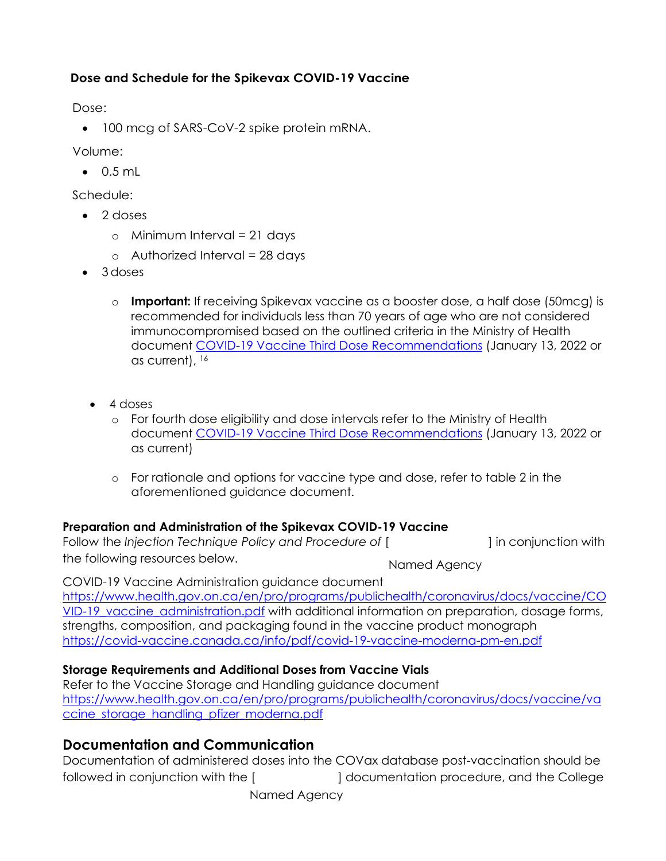#### **Dose and Schedule for the Spikevax COVID-19 Vaccine**

Dose:

• 100 mcg of SARS-CoV-2 spike protein mRNA.

Volume:

• 0.5 mL

Schedule:

- 2 doses
	- $\circ$  Minimum Interval = 21 days
	- $\circ$  Authorized Interval = 28 days
- 3 doses
	- o **Important:** If receiving Spikevax vaccine as a booster dose, a half dose (50mcg) is recommended for individuals less than 70 years of age who are not considered immunocompromised based on the outlined criteria in the Ministry of Health document [COVID-19 Vaccine Third Dose Recommendations](https://www.health.gov.on.ca/en/pro/programs/publichealth/coronavirus/docs/vaccine/COVID-19_vaccine_third_dose_recommendations.pdf) (January 13, 2022 or as current), 16
	- 4 doses
		- o For fourth dose eligibility and dose intervals refer to the Ministry of Health document [COVID-19 Vaccine Third Dose Recommendations](https://www.health.gov.on.ca/en/pro/programs/publichealth/coronavirus/docs/vaccine/COVID-19_vaccine_third_dose_recommendations.pdf) (January 13, 2022 or as current)
		- o For rationale and options for vaccine type and dose, refer to table 2 in the aforementioned guidance document.

#### **Preparation and Administration of the Spikevax COVID-19 Vaccine**

Follow the *Injection Technique Policy and Procedure of* [ ] in conjunction with the following resources below.

Named Agency

COVID-19 Vaccine Administration guidance document

[https://www.health.gov.on.ca/en/pro/programs/publichealth/coronavirus/docs/vaccine/CO](https://www.health.gov.on.ca/en/pro/programs/publichealth/coronavirus/docs/vaccine/COVID-19_vaccine_administration.pdf) VID-19 vaccine administration.pdf with additional information on preparation, dosage forms, strengths, composition, and packaging found in the vaccine product monograph <https://covid-vaccine.canada.ca/info/pdf/covid-19-vaccine-moderna-pm-en.pdf>

#### **Storage Requirements and Additional Doses from Vaccine Vials**

Refer to the Vaccine Storage and Handling guidance document [https://www.health.gov.on.ca/en/pro/programs/publichealth/coronavirus/docs/vaccine/va](https://www.health.gov.on.ca/en/pro/programs/publichealth/coronavirus/docs/vaccine/vaccine_storage_handling_pfizer_moderna.pdf) [ccine\\_storage\\_handling\\_pfizer\\_moderna.pdf](https://www.health.gov.on.ca/en/pro/programs/publichealth/coronavirus/docs/vaccine/vaccine_storage_handling_pfizer_moderna.pdf)

## **Documentation and Communication**

Documentation of administered doses into the COVax database post-vaccination should be followed in conjunction with the [ ] documentation procedure, and the College Named Agency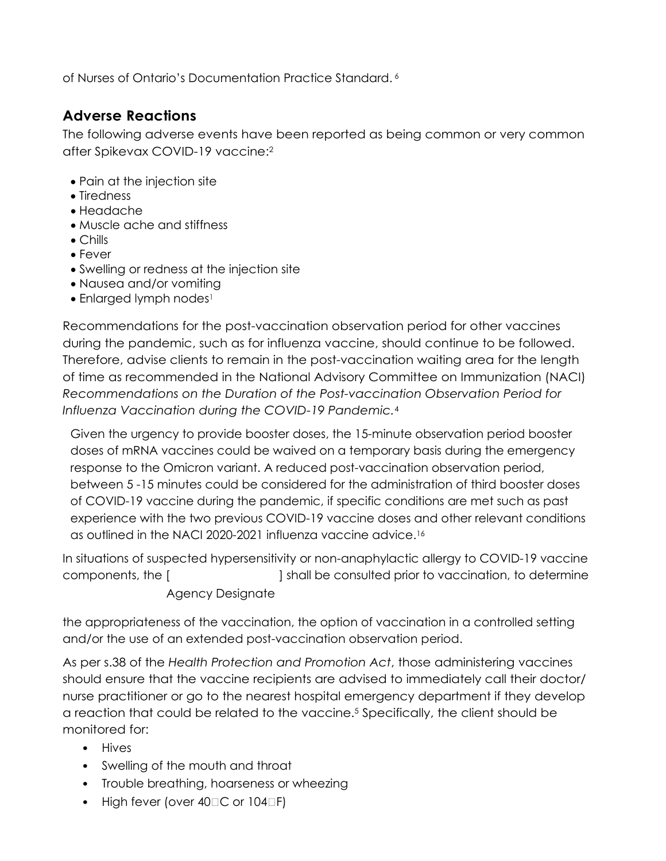of Nurses of Ontario's Documentation Practice Standard. 6

# **Adverse Reactions**

The following adverse events have been reported as being common or very common after Spikevax COVID-19 vaccine:2

- Pain at the injection site
- Tiredness
- Headache
- Muscle ache and stiffness
- Chills
- Fever
- Swelling or redness at the injection site
- Nausea and/or vomiting
- Enlarged lymph nodes<sup>1</sup>

Recommendations for the post-vaccination observation period for other vaccines during the pandemic, such as for influenza vaccine, should continue to be followed. Therefore, advise clients to remain in the post-vaccination waiting area for the length of time as recommended in the National Advisory Committee on Immunization (NACI) *Recommendations on the Duration of the Post-vaccination Observation Period for Influenza Vaccination during the COVID-19 Pandemic.*<sup>4</sup>

Given the urgency to provide booster doses, the 15-minute observation period booster doses of mRNA vaccines could be waived on a temporary basis during the emergency response to the Omicron variant. A reduced post-vaccination observation period, between 5 -15 minutes could be considered for the administration of third booster doses of COVID-19 vaccine during the pandemic, if specific conditions are met such as past experience with the two previous COVID-19 vaccine doses and other relevant conditions as outlined in the NACI 2020-2021 influenza vaccine advice.16

In situations of suspected hypersensitivity or non-anaphylactic allergy to COVID-19 vaccine components, the [ ] shall be consulted prior to vaccination, to determine Agency Designate

the appropriateness of the vaccination, the option of vaccination in a controlled setting and/or the use of an extended post-vaccination observation period.

As per s.38 of the *Health Protection and Promotion Act*, those administering vaccines should ensure that the vaccine recipients are advised to immediately call their doctor/ nurse practitioner or go to the nearest hospital emergency department if they develop a reaction that could be related to the vaccine.<sup>5</sup> Specifically, the client should be monitored for:

- Hives
- Swelling of the mouth and throat
- Trouble breathing, hoarseness or wheezing
- High fever (over  $40\square C$  or  $104\square F$ )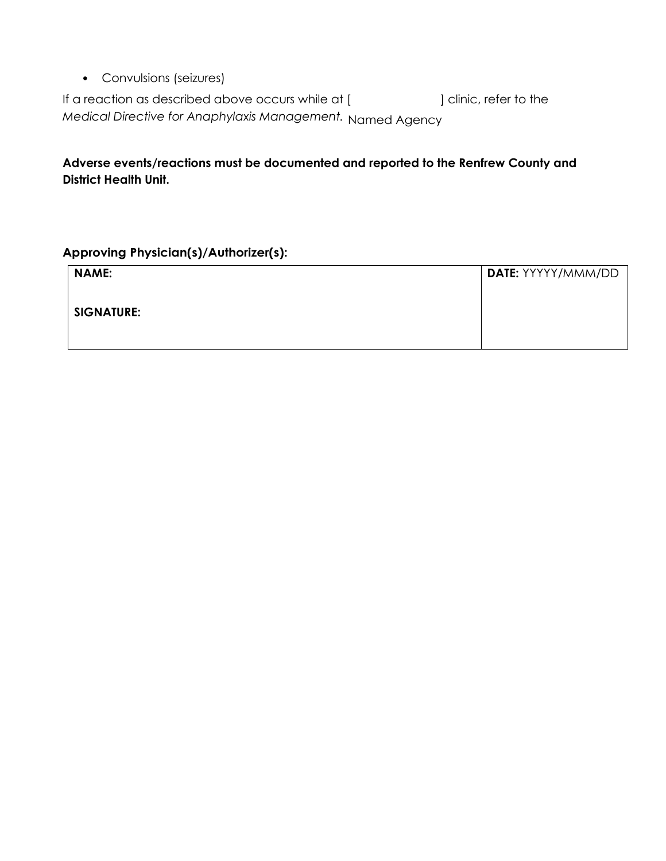• Convulsions (seizures)

If a reaction as described above occurs while at [  $\qquad \qquad$  ] clinic, refer to the *Medical Directive for Anaphylaxis Management.*  Named Agency

**Adverse events/reactions must be documented and reported to the Renfrew County and District Health Unit.**

#### **Approving Physician(s)/Authorizer(s):**

| <b>NAME:</b> | <b>DATE: YYYYY/MMM/DD</b> |
|--------------|---------------------------|
| SIGNATURE:   |                           |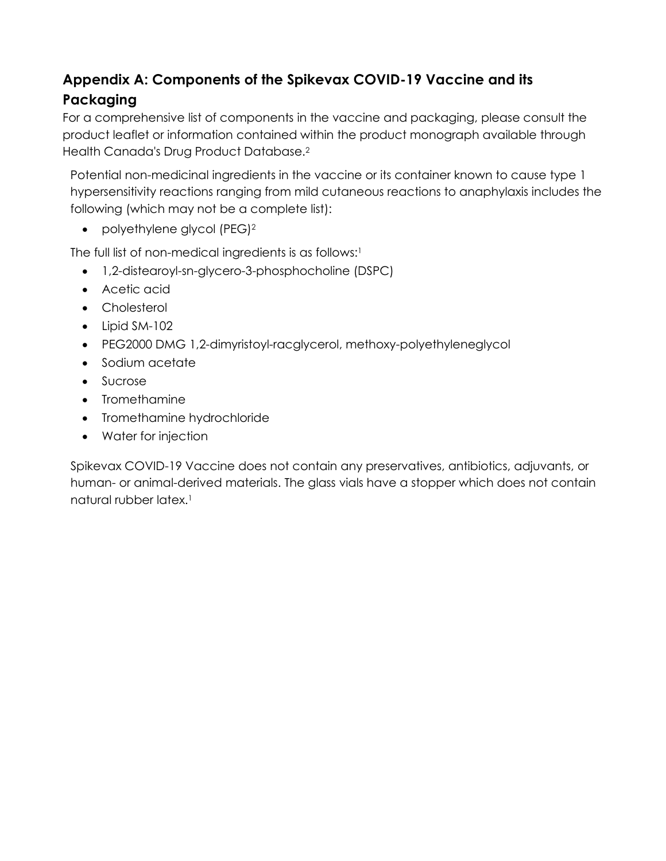# **Appendix A: Components of the Spikevax COVID-19 Vaccine and its Packaging**

For a comprehensive list of components in the vaccine and packaging, please consult the product leaflet or information contained within the product monograph available through Health Canada's Drug Product Database.2

Potential non-medicinal ingredients in the vaccine or its container known to cause type 1 hypersensitivity reactions ranging from mild cutaneous reactions to anaphylaxis includes the following (which may not be a complete list):

• polyethylene glycol (PEG)<sup>2</sup>

The full list of non-medical ingredients is as follows:<sup>1</sup>

- 1,2-distearoyl-sn-glycero-3-phosphocholine (DSPC)
- Acetic acid
- Cholesterol
- Lipid SM-102
- PEG2000 DMG 1,2-dimyristoyl-racglycerol, methoxy-polyethyleneglycol
- Sodium acetate
- Sucrose
- Tromethamine
- Tromethamine hydrochloride
- Water for injection

Spikevax COVID-19 Vaccine does not contain any preservatives, antibiotics, adjuvants, or human- or animal-derived materials. The glass vials have a stopper which does not contain natural rubber latex.1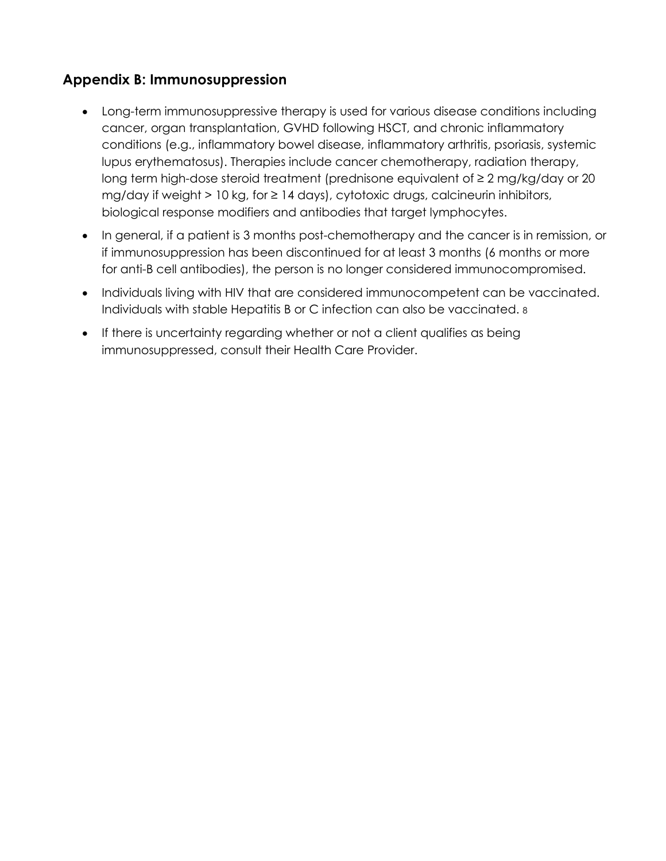# **Appendix B: Immunosuppression**

- Long-term immunosuppressive therapy is used for various disease conditions including cancer, organ transplantation, GVHD following HSCT, and chronic inflammatory conditions (e.g., inflammatory bowel disease, inflammatory arthritis, psoriasis, systemic lupus erythematosus). Therapies include cancer chemotherapy, radiation therapy, long term high-dose steroid treatment (prednisone equivalent of ≥ 2 mg/kg/day or 20 mg/day if weight > 10 kg, for ≥ 14 days), cytotoxic drugs, calcineurin inhibitors, biological response modifiers and antibodies that target lymphocytes.
- In general, if a patient is 3 months post-chemotherapy and the cancer is in remission, or if immunosuppression has been discontinued for at least 3 months (6 months or more for anti-B cell antibodies), the person is no longer considered immunocompromised.
- Individuals living with HIV that are considered immunocompetent can be vaccinated. Individuals with stable Hepatitis B or C infection can also be vaccinated. 8
- If there is uncertainty regarding whether or not a client qualifies as being immunosuppressed, consult their Health Care Provider.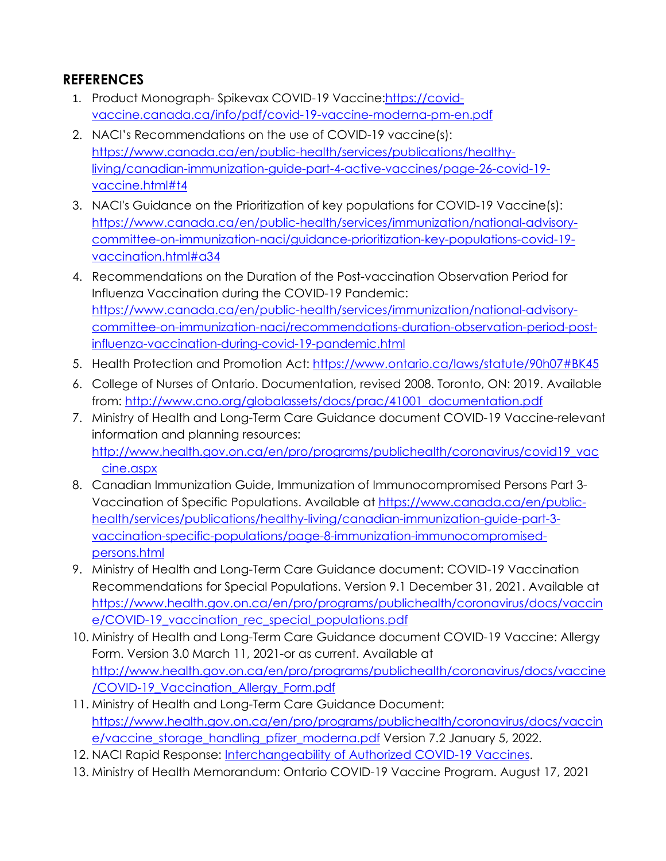# **REFERENCES**

- 1. Product Monograph- Spikevax COVID-19 Vaccine[:https://covid](https://covid-vaccine.canada.ca/info/pdf/covid-19-vaccine-moderna-pm-en.pdf)[vaccine.canada.ca/info/pdf/covid-19-vaccine-moderna-pm-en.pdf](https://covid-vaccine.canada.ca/info/pdf/covid-19-vaccine-moderna-pm-en.pdf)
- 2. NACI's Recommendations on the use of COVID-19 vaccine(s): [https://www.canada.ca/en/public-health/services/publications/healthy](https://www.canada.ca/en/public-health/services/publications/healthy-living/canadian-immunization-guide-part-4-active-vaccines/page-26-covid-19-vaccine.html#t4)[living/canadian-immunization-guide-part-4-active-vaccines/page-26-covid-19](https://www.canada.ca/en/public-health/services/publications/healthy-living/canadian-immunization-guide-part-4-active-vaccines/page-26-covid-19-vaccine.html#t4) [vaccine.html#t4](https://www.canada.ca/en/public-health/services/publications/healthy-living/canadian-immunization-guide-part-4-active-vaccines/page-26-covid-19-vaccine.html#t4)
- 3. NACI's Guidance on the Prioritization of key populations for COVID-19 Vaccine(s): https://www.canada.ca/en/public-health/services/immunization/national-advisorycommittee-on-immunization-naci/guidance-prioritization-key-populations-covid-19 vaccination.html#a34
- 4. Recommendations on the Duration of the Post-vaccination Observation Period for Influenza Vaccination during the COVID-19 Pandemic: https://www.canada.ca/en/public-health/services/immunization/national-advisorycommittee-on-immunization-naci/recommendations-duration-observation-period-postinfluenza-vaccination-during-covid-19-pandemic.html
- 5. Health Protection and Promotion Act: https://www.ontario.ca/laws/statute/90h07#BK45
- 6. College of Nurses of Ontario. Documentation, revised 2008. Toronto, ON: 2019. Available from: http://www.cno.org/globalassets/docs/prac/41001\_documentation.pdf
- 7. Ministry of Health and Long-Term Care Guidance document COVID-19 Vaccine-relevant information and planning resources: http://www.health.gov.on.ca/en/pro/programs/publichealth/coronavirus/covid19\_vac cine.aspx
- 8. Canadian Immunization Guide, Immunization of Immunocompromised Persons Part 3- Vaccination of Specific Populations. Available at https://www.canada.ca/en/publichealth/services/publications/healthy-living/canadian-immunization-guide-part-3 vaccination-specific-populations/page-8-immunization-immunocompromisedpersons.html
- 9. Ministry of Health and Long-Term Care Guidance document: COVID-19 Vaccination Recommendations for Special Populations. Version 9.1 December 31, 2021. Available at [https://www.health.gov.on.ca/en/pro/programs/publichealth/coronavirus/docs/vaccin](https://www.health.gov.on.ca/en/pro/programs/publichealth/coronavirus/docs/vaccine/COVID-19_vaccination_rec_special_populations.pdf) [e/COVID-19\\_vaccination\\_rec\\_special\\_populations.pdf](https://www.health.gov.on.ca/en/pro/programs/publichealth/coronavirus/docs/vaccine/COVID-19_vaccination_rec_special_populations.pdf)
- 10. Ministry of Health and Long-Term Care Guidance document COVID-19 Vaccine: Allergy Form. Version 3.0 March 11, 2021-or as current. Available at http://www.health.gov.on.ca/en/pro/programs/publichealth/coronavirus/docs/vaccine /COVID-19\_Vaccination\_Allergy\_Form.pdf
- 11. Ministry of Health and Long-Term Care Guidance Document: [https://www.health.gov.on.ca/en/pro/programs/publichealth/coronavirus/docs/vaccin](https://www.health.gov.on.ca/en/pro/programs/publichealth/coronavirus/docs/vaccine/vaccine_storage_handling_pfizer_moderna.pdf) [e/vaccine\\_storage\\_handling\\_pfizer\\_moderna.pdf](https://www.health.gov.on.ca/en/pro/programs/publichealth/coronavirus/docs/vaccine/vaccine_storage_handling_pfizer_moderna.pdf) Version 7.2 January 5, 2022.
- 12. NACI Rapid Response: Interchangeability of Authorized COVID-19 Vaccines.
- 13. Ministry of Health Memorandum: Ontario COVID-19 Vaccine Program. August 17, 2021